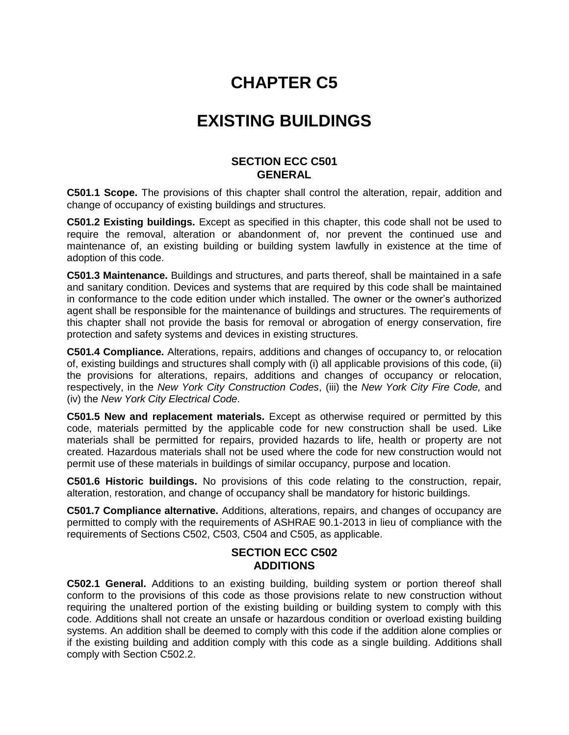# **CHAPTER C5**

## **EXISTING BUILDINGS**

#### **SECTION ECC C501 GENERAL**

**C501.1 Scope.** The provisions of this chapter shall control the alteration, repair, addition and change of occupancy of existing buildings and structures.

**C501.2 Existing buildings.** Except as specified in this chapter, this code shall not be used to require the removal, alteration or abandonment of, nor prevent the continued use and maintenance of, an existing building or building system lawfully in existence at the time of adoption of this code.

**C501.3 Maintenance.** Buildings and structures, and parts thereof, shall be maintained in a safe and sanitary condition. Devices and systems that are required by this code shall be maintained in conformance to the code edition under which installed. The owner or the owner's authorized agent shall be responsible for the maintenance of buildings and structures. The requirements of this chapter shall not provide the basis for removal or abrogation of energy conservation, fire protection and safety systems and devices in existing structures.

**C501.4 Compliance.** Alterations, repairs, additions and changes of occupancy to, or relocation of, existing buildings and structures shall comply with (i) all applicable provisions of this code, (ii) the provisions for alterations, repairs, additions and changes of occupancy or relocation, respectively, in the *New York City Construction Codes*, (iii) the *New York City Fire Code,* and (iv) the *New York City Electrical Code*.

**C501.5 New and replacement materials.** Except as otherwise required or permitted by this code, materials permitted by the applicable code for new construction shall be used. Like materials shall be permitted for repairs, provided hazards to life, health or property are not created. Hazardous materials shall not be used where the code for new construction would not permit use of these materials in buildings of similar occupancy, purpose and location.

**C501.6 Historic buildings.** No provisions of this code relating to the construction, repair*,*  alteration, restoration, and change of occupancy shall be mandatory for historic buildings.

**C501.7 Compliance alternative.** Additions, alterations, repairs, and changes of occupancy are permitted to comply with the requirements of ASHRAE 90.1-2013 in lieu of compliance with the requirements of Sections C502, C503, C504 and C505, as applicable.

## **SECTION ECC C502 ADDITIONS**

**C502.1 General.** Additions to an existing building, building system or portion thereof shall conform to the provisions of this code as those provisions relate to new construction without requiring the unaltered portion of the existing building or building system to comply with this code. Additions shall not create an unsafe or hazardous condition or overload existing building systems. An addition shall be deemed to comply with this code if the addition alone complies or if the existing building and addition comply with this code as a single building. Additions shall comply with Section C502.2.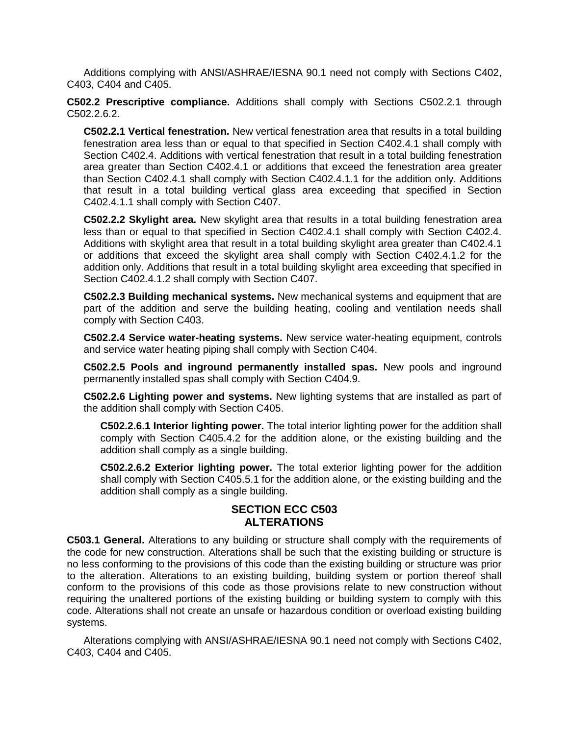Additions complying with ANSI/ASHRAE/IESNA 90.1 need not comply with Sections C402, C403, C404 and C405.

**C502.2 Prescriptive compliance.** Additions shall comply with Sections C502.2.1 through C502.2.6.2.

**C502.2.1 Vertical fenestration.** New vertical fenestration area that results in a total building fenestration area less than or equal to that specified in Section C402.4.1 shall comply with Section C402.4. Additions with vertical fenestration that result in a total building fenestration area greater than Section C402.4.1 or additions that exceed the fenestration area greater than Section C402.4.1 shall comply with Section C402.4.1.1 for the addition only. Additions that result in a total building vertical glass area exceeding that specified in Section C402.4.1.1 shall comply with Section C407.

**C502.2.2 Skylight area.** New skylight area that results in a total building fenestration area less than or equal to that specified in Section C402.4.1 shall comply with Section C402.4. Additions with skylight area that result in a total building skylight area greater than C402.4.1 or additions that exceed the skylight area shall comply with Section C402.4.1.2 for the addition only. Additions that result in a total building skylight area exceeding that specified in Section C402.4.1.2 shall comply with Section C407.

**C502.2.3 Building mechanical systems.** New mechanical systems and equipment that are part of the addition and serve the building heating, cooling and ventilation needs shall comply with Section C403.

**C502.2.4 Service water-heating systems.** New service water-heating equipment, controls and service water heating piping shall comply with Section C404.

**C502.2.5 Pools and inground permanently installed spas.** New pools and inground permanently installed spas shall comply with Section C404.9.

**C502.2.6 Lighting power and systems.** New lighting systems that are installed as part of the addition shall comply with Section C405.

**C502.2.6.1 Interior lighting power.** The total interior lighting power for the addition shall comply with Section C405.4.2 for the addition alone, or the existing building and the addition shall comply as a single building.

**C502.2.6.2 Exterior lighting power.** The total exterior lighting power for the addition shall comply with Section C405.5.1 for the addition alone, or the existing building and the addition shall comply as a single building.

## **SECTION ECC C503 ALTERATIONS**

**C503.1 General.** Alterations to any building or structure shall comply with the requirements of the code for new construction. Alterations shall be such that the existing building or structure is no less conforming to the provisions of this code than the existing building or structure was prior to the alteration. Alterations to an existing building, building system or portion thereof shall conform to the provisions of this code as those provisions relate to new construction without requiring the unaltered portions of the existing building or building system to comply with this code. Alterations shall not create an unsafe or hazardous condition or overload existing building systems.

Alterations complying with ANSI/ASHRAE/IESNA 90.1 need not comply with Sections C402, C403, C404 and C405.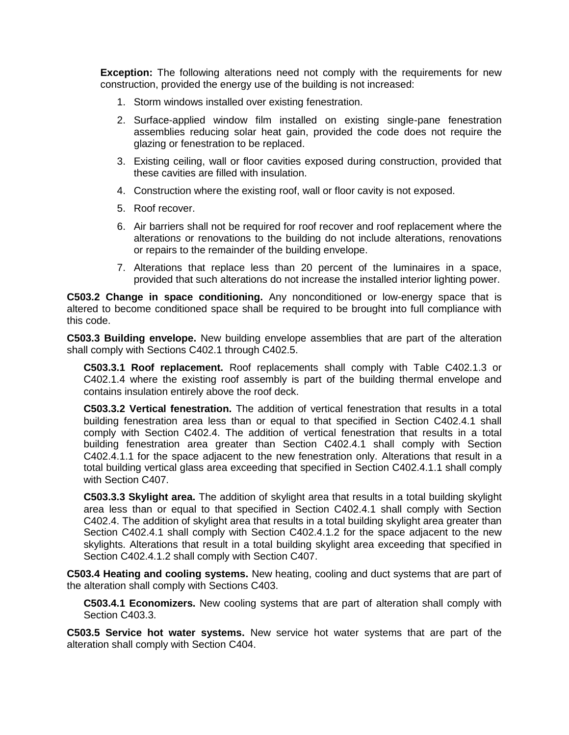**Exception:** The following alterations need not comply with the requirements for new construction, provided the energy use of the building is not increased:

- 1. Storm windows installed over existing fenestration.
- 2. Surface-applied window film installed on existing single-pane fenestration assemblies reducing solar heat gain, provided the code does not require the glazing or fenestration to be replaced.
- 3. Existing ceiling, wall or floor cavities exposed during construction, provided that these cavities are filled with insulation.
- 4. Construction where the existing roof, wall or floor cavity is not exposed.
- 5. Roof recover.
- 6. Air barriers shall not be required for roof recover and roof replacement where the alteration*s* or renovations to the building do not include alterations, renovations or repairs to the remainder of the building envelope.
- 7. Alterations that replace less than 20 percent of the luminaires in a space, provided that such alterations do not increase the installed interior lighting power.

**C503.2 Change in space conditioning.** Any nonconditioned or low-energy space that is altered to become conditioned space shall be required to be brought into full compliance with this code.

**C503.3 Building envelope.** New building envelope assemblies that are part of the alteration shall comply with Sections C402.1 through C402.5.

**C503.3.1 Roof replacement.** Roof replacements shall comply with Table C402.1.3 or C402.1.4 where the existing roof assembly is part of the building thermal envelope and contains insulation entirely above the roof deck.

**C503.3.2 Vertical fenestration.** The addition of vertical fenestration that results in a total building fenestration area less than or equal to that specified in Section C402.4.1 shall comply with Section C402.4. The addition of vertical fenestration that results in a total building fenestration area greater than Section C402.4.1 shall comply with Section C402.4.1.1 for the space adjacent to the new fenestration only. Alterations that result in a total building vertical glass area exceeding that specified in Section C402.4.1.1 shall comply with Section C407.

**C503.3.3 Skylight area.** The addition of skylight area that results in a total building skylight area less than or equal to that specified in Section C402.4.1 shall comply with Section C402.4. The addition of skylight area that results in a total building skylight area greater than Section C402.4.1 shall comply with Section C402.4.1.2 for the space adjacent to the new skylights. Alterations that result in a total building skylight area exceeding that specified in Section C402.4.1.2 shall comply with Section C407.

**C503.4 Heating and cooling systems.** New heating, cooling and duct systems that are part of the alteration shall comply with Sections C403.

**C503.4.1 Economizers.** New cooling systems that are part of alteration shall comply with Section C403.3.

**C503.5 Service hot water systems.** New service hot water systems that are part of the alteration shall comply with Section C404.